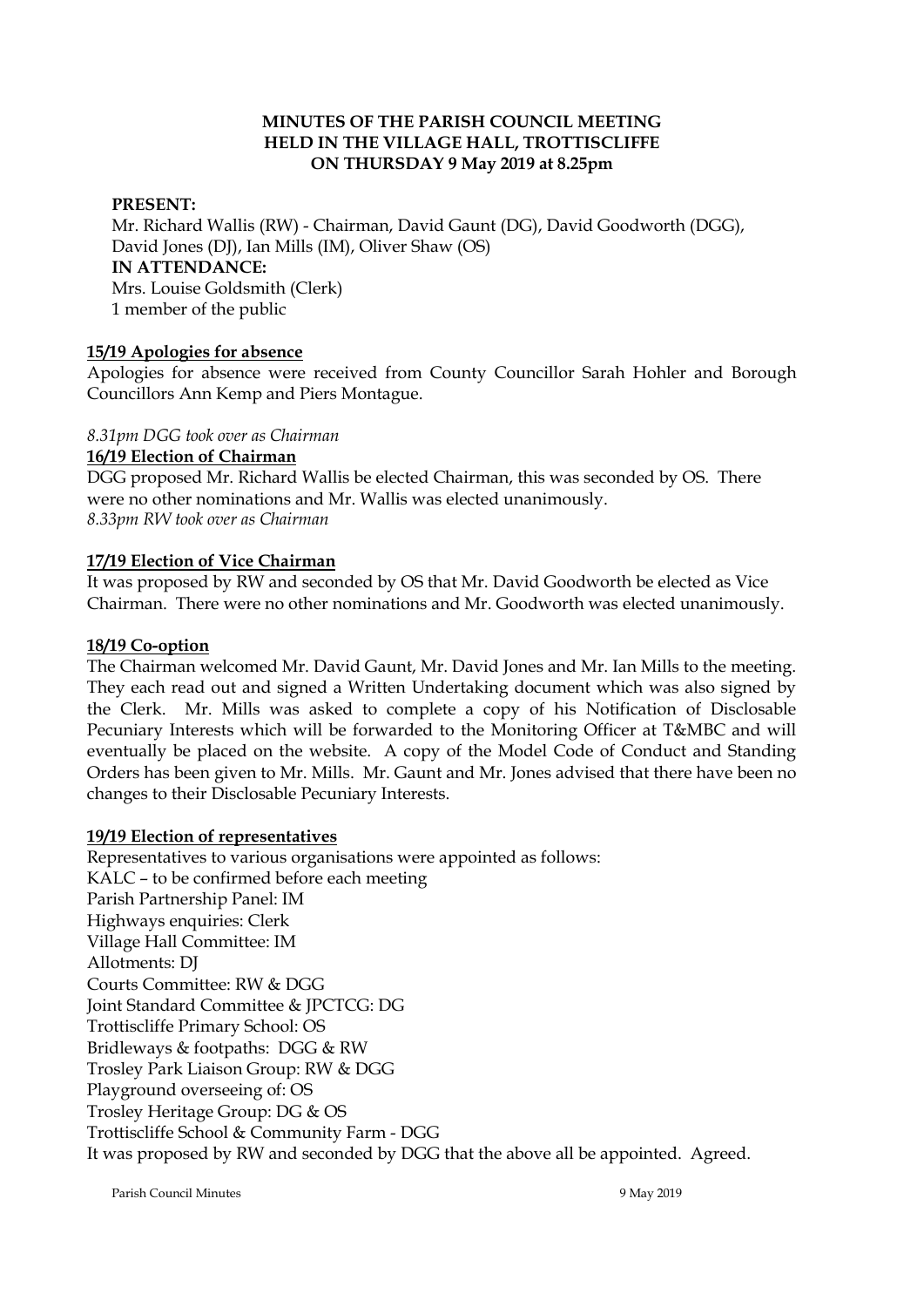### **MINUTES OF THE PARISH COUNCIL MEETING HELD IN THE VILLAGE HALL, TROTTISCLIFFE ON THURSDAY 9 May 2019 at 8.25pm**

### **PRESENT:**

Mr. Richard Wallis (RW) - Chairman, David Gaunt (DG), David Goodworth (DGG), David Jones (DJ), Ian Mills (IM), Oliver Shaw (OS) **IN ATTENDANCE:**  Mrs. Louise Goldsmith (Clerk) 1 member of the public

#### **15/19 Apologies for absence**

Apologies for absence were received from County Councillor Sarah Hohler and Borough Councillors Ann Kemp and Piers Montague.

#### *8.31pm DGG took over as Chairman*

#### **16/19 Election of Chairman**

DGG proposed Mr. Richard Wallis be elected Chairman, this was seconded by OS. There were no other nominations and Mr. Wallis was elected unanimously. *8.33pm RW took over as Chairman*

#### **17/19 Election of Vice Chairman**

It was proposed by RW and seconded by OS that Mr. David Goodworth be elected as Vice Chairman. There were no other nominations and Mr. Goodworth was elected unanimously.

#### **18/19 Co-option**

The Chairman welcomed Mr. David Gaunt, Mr. David Jones and Mr. Ian Mills to the meeting. They each read out and signed a Written Undertaking document which was also signed by the Clerk. Mr. Mills was asked to complete a copy of his Notification of Disclosable Pecuniary Interests which will be forwarded to the Monitoring Officer at T&MBC and will eventually be placed on the website. A copy of the Model Code of Conduct and Standing Orders has been given to Mr. Mills. Mr. Gaunt and Mr. Jones advised that there have been no changes to their Disclosable Pecuniary Interests.

#### **19/19 Election of representatives**

Representatives to various organisations were appointed as follows: KALC – to be confirmed before each meeting Parish Partnership Panel: IM Highways enquiries: Clerk Village Hall Committee: IM Allotments: DJ Courts Committee: RW & DGG Joint Standard Committee & JPCTCG: DG Trottiscliffe Primary School: OS Bridleways & footpaths: DGG & RW Trosley Park Liaison Group: RW & DGG Playground overseeing of: OS Trosley Heritage Group: DG & OS Trottiscliffe School & Community Farm - DGG It was proposed by RW and seconded by DGG that the above all be appointed. Agreed.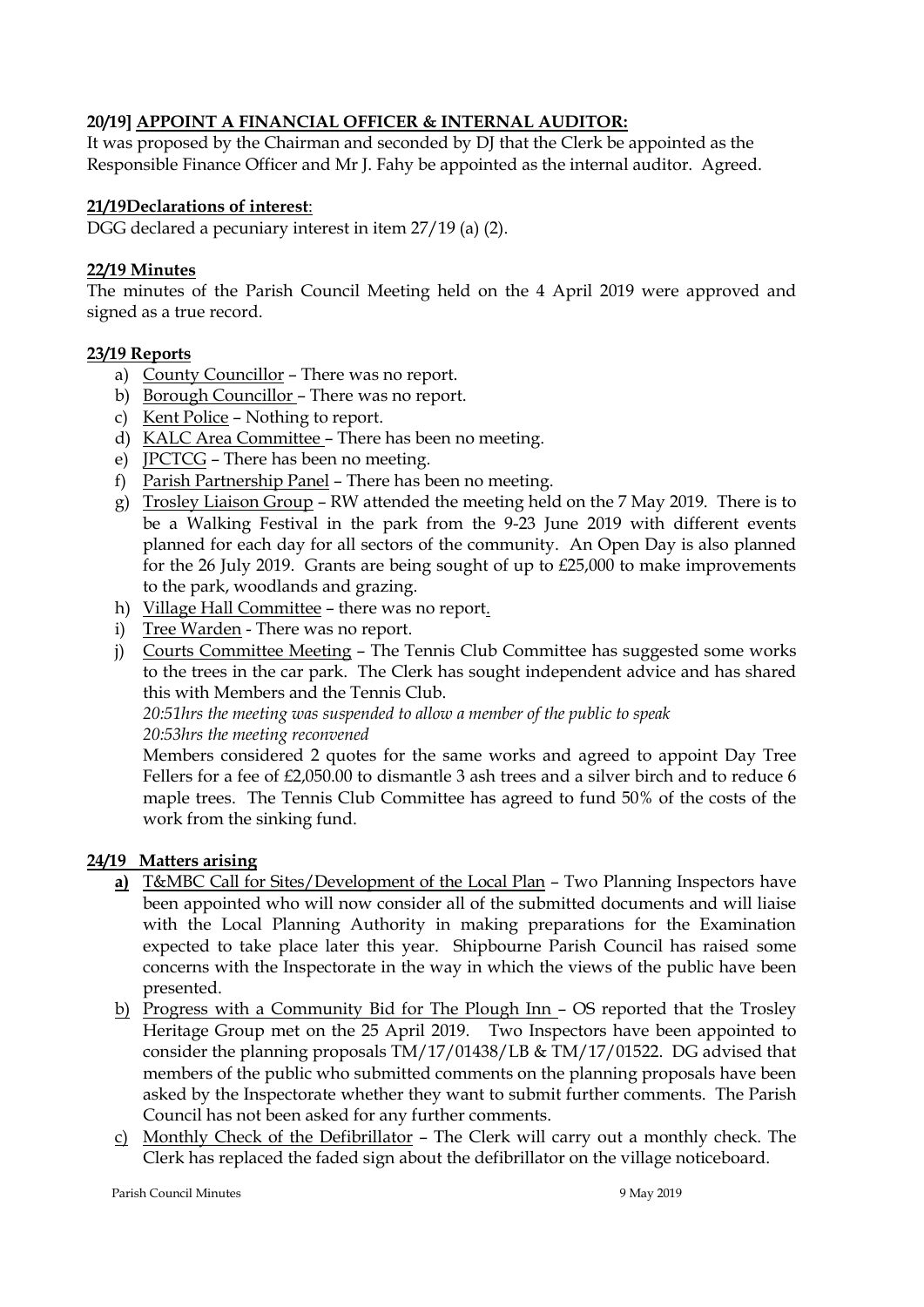## **20/19] APPOINT A FINANCIAL OFFICER & INTERNAL AUDITOR:**

It was proposed by the Chairman and seconded by DJ that the Clerk be appointed as the Responsible Finance Officer and Mr J. Fahy be appointed as the internal auditor. Agreed.

## **21/19Declarations of interest**:

DGG declared a pecuniary interest in item 27/19 (a) (2).

## **22/19 Minutes**

The minutes of the Parish Council Meeting held on the 4 April 2019 were approved and signed as a true record.

## **23/19 Reports**

- a) County Councillor There was no report.
- b) Borough Councillor There was no report.
- c) Kent Police Nothing to report.
- d) KALC Area Committee There has been no meeting.
- e) JPCTCG There has been no meeting.
- f) Parish Partnership Panel There has been no meeting.
- g) Trosley Liaison Group RW attended the meeting held on the 7 May 2019. There is to be a Walking Festival in the park from the 9-23 June 2019 with different events planned for each day for all sectors of the community. An Open Day is also planned for the 26 July 2019. Grants are being sought of up to £25,000 to make improvements to the park, woodlands and grazing.
- h) Village Hall Committee there was no report.
- i) Tree Warden There was no report.
- j) Courts Committee Meeting The Tennis Club Committee has suggested some works to the trees in the car park. The Clerk has sought independent advice and has shared this with Members and the Tennis Club.

*20:51hrs the meeting was suspended to allow a member of the public to speak 20:53hrs the meeting reconvened*

Members considered 2 quotes for the same works and agreed to appoint Day Tree Fellers for a fee of £2,050.00 to dismantle 3 ash trees and a silver birch and to reduce 6 maple trees. The Tennis Club Committee has agreed to fund 50% of the costs of the work from the sinking fund.

## **24/19 Matters arising**

- **a)** T&MBC Call for Sites/Development of the Local Plan Two Planning Inspectors have been appointed who will now consider all of the submitted documents and will liaise with the Local Planning Authority in making preparations for the Examination expected to take place later this year. Shipbourne Parish Council has raised some concerns with the Inspectorate in the way in which the views of the public have been presented.
- b) Progress with a Community Bid for The Plough Inn OS reported that the Trosley Heritage Group met on the 25 April 2019. Two Inspectors have been appointed to consider the planning proposals TM/17/01438/LB & TM/17/01522. DG advised that members of the public who submitted comments on the planning proposals have been asked by the Inspectorate whether they want to submit further comments. The Parish Council has not been asked for any further comments.
- c) Monthly Check of the Defibrillator The Clerk will carry out a monthly check. The Clerk has replaced the faded sign about the defibrillator on the village noticeboard.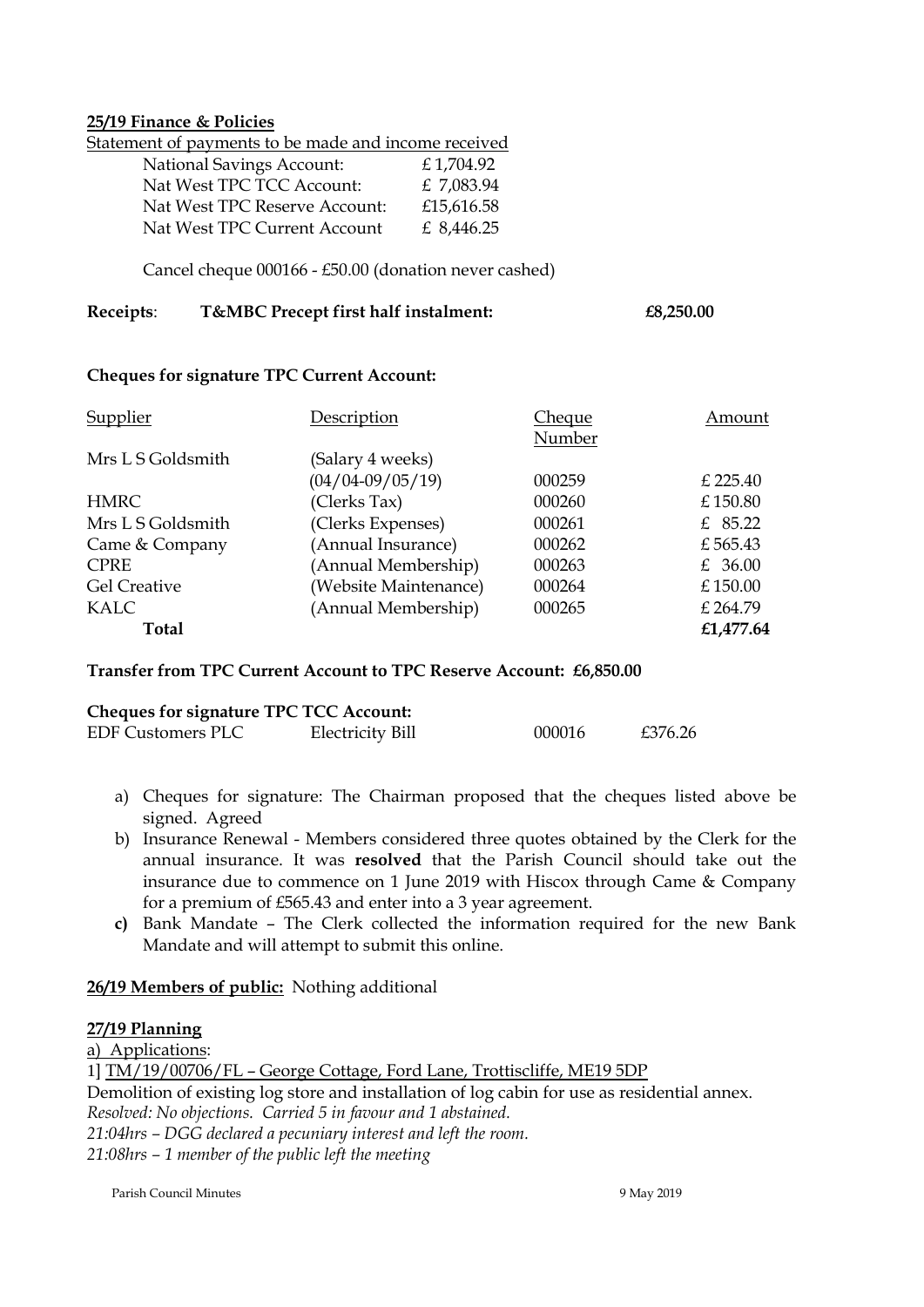#### **25/19 Finance & Policies**

Statement of payments to be made and income received

| <b>National Savings Account:</b> | £1,704.92    |
|----------------------------------|--------------|
| Nat West TPC TCC Account:        | £ 7,083.94   |
| Nat West TPC Reserve Account:    | £15,616.58   |
| Nat West TPC Current Account     | £ $8,446.25$ |

Cancel cheque 000166 - £50.00 (donation never cashed)

### **Receipts**: **T&MBC Precept first half instalment: £8,250.00**

#### **Cheques for signature TPC Current Account:**

| Supplier            | Description           | Cheque | Amount    |
|---------------------|-----------------------|--------|-----------|
|                     |                       | Number |           |
| Mrs L S Goldsmith   | (Salary 4 weeks)      |        |           |
|                     | $(04/04 - 09/05/19)$  | 000259 | £ 225.40  |
| <b>HMRC</b>         | (Clerks Tax)          | 000260 | £150.80   |
| Mrs L S Goldsmith   | (Clerks Expenses)     | 000261 | £ $85.22$ |
| Came & Company      | (Annual Insurance)    | 000262 | £565.43   |
| <b>CPRE</b>         | (Annual Membership)   | 000263 | £ 36.00   |
| <b>Gel Creative</b> | (Website Maintenance) | 000264 | £150.00   |
| KALC                | (Annual Membership)   | 000265 | £ 264.79  |
| Total               |                       |        | £1,477.64 |

#### **Transfer from TPC Current Account to TPC Reserve Account: £6,850.00**

## **Cheques for signature TPC TCC Account:**

| <b>EDF Customers PLC</b> | Electricity Bill | 000016 | £376.26 |
|--------------------------|------------------|--------|---------|
|                          |                  |        |         |

- a) Cheques for signature: The Chairman proposed that the cheques listed above be signed. Agreed
- b) Insurance Renewal Members considered three quotes obtained by the Clerk for the annual insurance. It was **resolved** that the Parish Council should take out the insurance due to commence on 1 June 2019 with Hiscox through Came & Company for a premium of £565.43 and enter into a 3 year agreement.
- **c)** Bank Mandate The Clerk collected the information required for the new Bank Mandate and will attempt to submit this online.

## **26/19 Members of public:** Nothing additional

## **27/19 Planning**

a) Applications:

1] TM/19/00706/FL – George Cottage, Ford Lane, Trottiscliffe, ME19 5DP

Demolition of existing log store and installation of log cabin for use as residential annex.

*Resolved: No objections. Carried 5 in favour and 1 abstained.*

*21:04hrs – DGG declared a pecuniary interest and left the room.* 

*21:08hrs – 1 member of the public left the meeting*

Parish Council Minutes 9 May 2019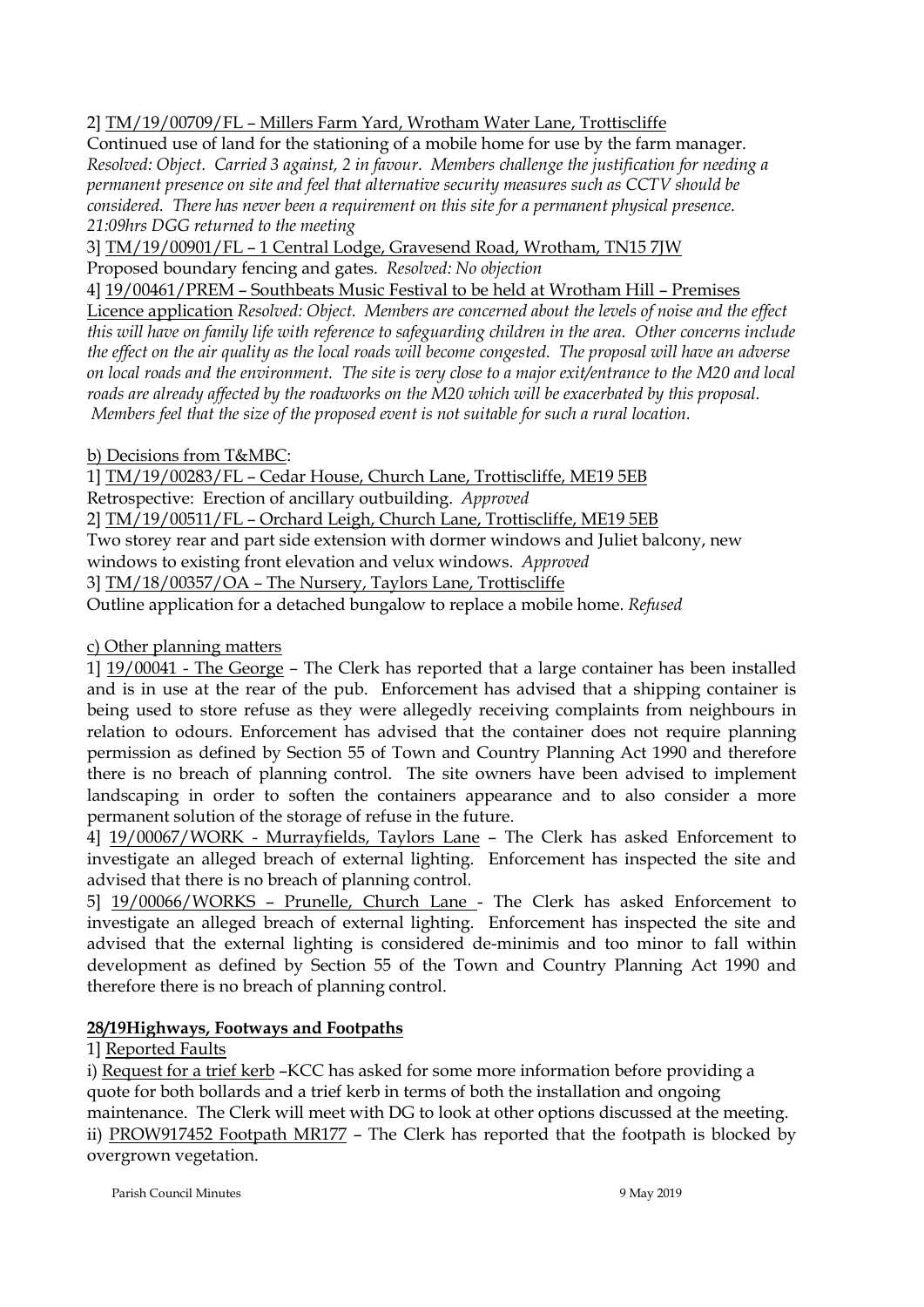2] TM/19/00709/FL – Millers Farm Yard, Wrotham Water Lane, Trottiscliffe

Continued use of land for the stationing of a mobile home for use by the farm manager. *Resolved: Object. Carried 3 against, 2 in favour. Members challenge the justification for needing a permanent presence on site and feel that alternative security measures such as CCTV should be considered. There has never been a requirement on this site for a permanent physical presence. 21:09hrs DGG returned to the meeting*

3] TM/19/00901/FL – 1 Central Lodge, Gravesend Road, Wrotham, TN15 7JW

Proposed boundary fencing and gates. *Resolved: No objection*

4] 19/00461/PREM – Southbeats Music Festival to be held at Wrotham Hill – Premises

Licence application *Resolved: Object. Members are concerned about the levels of noise and the effect this will have on family life with reference to safeguarding children in the area. Other concerns include the effect on the air quality as the local roads will become congested. The proposal will have an adverse on local roads and the environment. The site is very close to a major exit/entrance to the M20 and local roads are already affected by the roadworks on the M20 which will be exacerbated by this proposal. Members feel that the size of the proposed event is not suitable for such a rural location.*

b) Decisions from T&MBC:

1] TM/19/00283/FL – Cedar House, Church Lane, Trottiscliffe, ME19 5EB

Retrospective: Erection of ancillary outbuilding. *Approved*

2] TM/19/00511/FL – Orchard Leigh, Church Lane, Trottiscliffe, ME19 5EB

Two storey rear and part side extension with dormer windows and Juliet balcony, new

windows to existing front elevation and velux windows. *Approved*

3] TM/18/00357/OA – The Nursery, Taylors Lane, Trottiscliffe

Outline application for a detached bungalow to replace a mobile home. *Refused*

c) Other planning matters

1] 19/00041 - The George – The Clerk has reported that a large container has been installed and is in use at the rear of the pub. Enforcement has advised that a shipping container is being used to store refuse as they were allegedly receiving complaints from neighbours in relation to odours. Enforcement has advised that the container does not require planning permission as defined by Section 55 of Town and Country Planning Act 1990 and therefore there is no breach of planning control. The site owners have been advised to implement landscaping in order to soften the containers appearance and to also consider a more permanent solution of the storage of refuse in the future.

4] 19/00067/WORK - Murrayfields, Taylors Lane – The Clerk has asked Enforcement to investigate an alleged breach of external lighting. Enforcement has inspected the site and advised that there is no breach of planning control.

5] 19/00066/WORKS – Prunelle, Church Lane - The Clerk has asked Enforcement to investigate an alleged breach of external lighting. Enforcement has inspected the site and advised that the external lighting is considered de-minimis and too minor to fall within development as defined by Section 55 of the Town and Country Planning Act 1990 and therefore there is no breach of planning control.

# **28/19Highways, Footways and Footpaths**

1] Reported Faults

i) Request for a trief kerb –KCC has asked for some more information before providing a quote for both bollards and a trief kerb in terms of both the installation and ongoing maintenance. The Clerk will meet with DG to look at other options discussed at the meeting. ii) PROW917452 Footpath MR177 – The Clerk has reported that the footpath is blocked by overgrown vegetation.

Parish Council Minutes 9 May 2019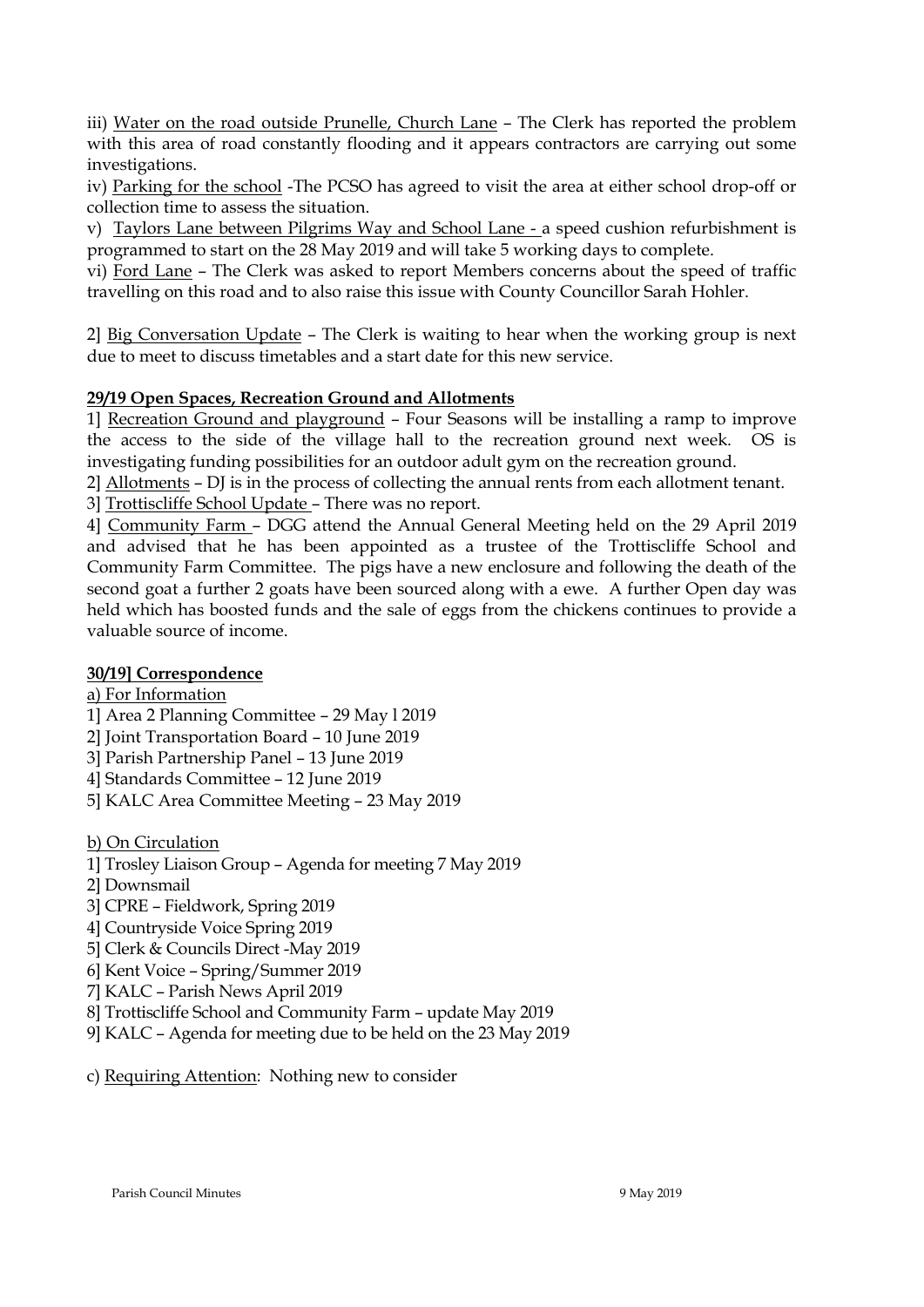iii) Water on the road outside Prunelle, Church Lane - The Clerk has reported the problem with this area of road constantly flooding and it appears contractors are carrying out some investigations.

iv) Parking for the school -The PCSO has agreed to visit the area at either school drop-off or collection time to assess the situation.

v) Taylors Lane between Pilgrims Way and School Lane - a speed cushion refurbishment is programmed to start on the 28 May 2019 and will take 5 working days to complete.

vi) Ford Lane – The Clerk was asked to report Members concerns about the speed of traffic travelling on this road and to also raise this issue with County Councillor Sarah Hohler.

2] Big Conversation Update – The Clerk is waiting to hear when the working group is next due to meet to discuss timetables and a start date for this new service.

## **29/19 Open Spaces, Recreation Ground and Allotments**

1] Recreation Ground and playground – Four Seasons will be installing a ramp to improve the access to the side of the village hall to the recreation ground next week. OS is investigating funding possibilities for an outdoor adult gym on the recreation ground.

2] Allotments – DJ is in the process of collecting the annual rents from each allotment tenant.

3] Trottiscliffe School Update – There was no report.

4] Community Farm – DGG attend the Annual General Meeting held on the 29 April 2019 and advised that he has been appointed as a trustee of the Trottiscliffe School and Community Farm Committee. The pigs have a new enclosure and following the death of the second goat a further 2 goats have been sourced along with a ewe. A further Open day was held which has boosted funds and the sale of eggs from the chickens continues to provide a valuable source of income.

## **30/19] Correspondence**

a) For Information

1] Area 2 Planning Committee – 29 May l 2019

- 2] Joint Transportation Board 10 June 2019
- 3] Parish Partnership Panel 13 June 2019
- 4] Standards Committee 12 June 2019
- 5] KALC Area Committee Meeting 23 May 2019

b) On Circulation

- 1] Trosley Liaison Group Agenda for meeting 7 May 2019
- 2] Downsmail
- 3] CPRE Fieldwork, Spring 2019
- 4] Countryside Voice Spring 2019
- 5] Clerk & Councils Direct -May 2019
- 6] Kent Voice Spring/Summer 2019
- 7] KALC Parish News April 2019
- 8] Trottiscliffe School and Community Farm update May 2019
- 9] KALC Agenda for meeting due to be held on the 23 May 2019

c) Requiring Attention: Nothing new to consider